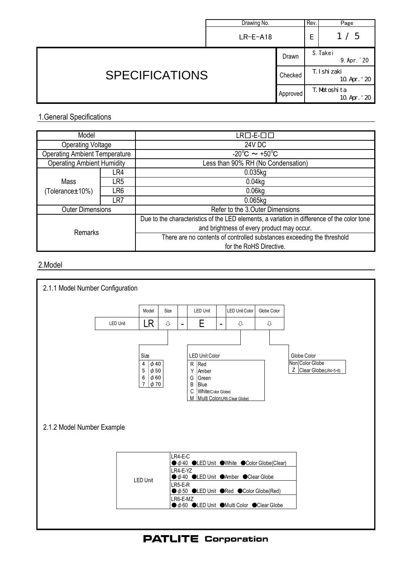|                       | Drawing No. |                          | Rev. | Page                        |
|-----------------------|-------------|--------------------------|------|-----------------------------|
|                       | $LR-E-18$   |                          | Е    | 1/5                         |
| <b>SPECIFICATIONS</b> |             | Drawn                    |      | S. Takei<br>9. Apr. '20     |
|                       |             | T. I shi zaki<br>Checked |      | 10 Apr. '20                 |
|                       |             | Approved                 |      | T. Motoshita<br>10 Apr. '20 |

## 1.General Specifications

| Model                                |     | LR□-E-□□                                                                                    |  |  |
|--------------------------------------|-----|---------------------------------------------------------------------------------------------|--|--|
| <b>Operating Voltage</b>             |     | <b>24V DC</b>                                                                               |  |  |
| <b>Operating Ambient Temperature</b> |     | $\overline{-20^{\circ}}$ C $\sim +50^{\circ}$ C                                             |  |  |
| <b>Operating Ambient Humidity</b>    |     | Less than 90% RH (No Condensation)                                                          |  |  |
|                                      | LR4 | 0.035kg                                                                                     |  |  |
| Mass                                 | LR5 | 0.04kg                                                                                      |  |  |
| (Tolerance±10%)                      | LR6 | 0.06kg                                                                                      |  |  |
|                                      | LR7 | 0.065kg                                                                                     |  |  |
| <b>Outer Dimensions</b>              |     | Refer to the 3. Outer Dimensions                                                            |  |  |
| Remarks                              |     | Due to the characteristics of the LED elements, a variation in difference of the color tone |  |  |
|                                      |     | and brightness of every product may occur.                                                  |  |  |
|                                      |     | There are no contents of controlled substances exceeding the threshold                      |  |  |
|                                      |     | for the RoHS Directive.                                                                     |  |  |

## 2.Model



**PATLITE Corporation**